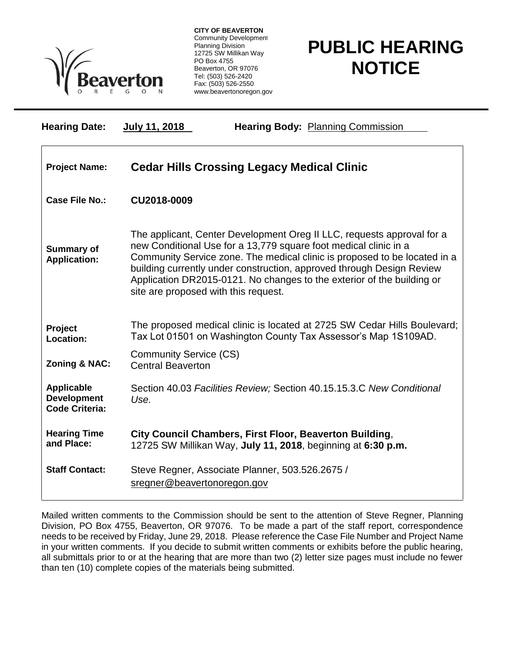

**CITY OF BEAVERTON** Community Development Planning Division 12725 SW Millikan Way PO Box 4755 Beaverton, OR 97076 Tel: (503) 526-2420 Fax: (503) 526-2550 www.beavertonoregon.gov

## **PUBLIC HEARING NOTICE**

| <b>Hearing Date:</b>                                             | July 11, 2018                                                                                                           | <b>Hearing Body: Planning Commission</b>                                                                                                                                                                                                                                                                                                                                   |
|------------------------------------------------------------------|-------------------------------------------------------------------------------------------------------------------------|----------------------------------------------------------------------------------------------------------------------------------------------------------------------------------------------------------------------------------------------------------------------------------------------------------------------------------------------------------------------------|
| <b>Project Name:</b>                                             | <b>Cedar Hills Crossing Legacy Medical Clinic</b>                                                                       |                                                                                                                                                                                                                                                                                                                                                                            |
| Case File No.:                                                   | CU2018-0009                                                                                                             |                                                                                                                                                                                                                                                                                                                                                                            |
| <b>Summary of</b><br><b>Application:</b>                         | site are proposed with this request.                                                                                    | The applicant, Center Development Oreg II LLC, requests approval for a<br>new Conditional Use for a 13,779 square foot medical clinic in a<br>Community Service zone. The medical clinic is proposed to be located in a<br>building currently under construction, approved through Design Review<br>Application DR2015-0121. No changes to the exterior of the building or |
| Project<br>Location:                                             |                                                                                                                         | The proposed medical clinic is located at 2725 SW Cedar Hills Boulevard;<br>Tax Lot 01501 on Washington County Tax Assessor's Map 1S109AD.                                                                                                                                                                                                                                 |
| Zoning & NAC:                                                    | <b>Community Service (CS)</b><br><b>Central Beaverton</b>                                                               |                                                                                                                                                                                                                                                                                                                                                                            |
| <b>Applicable</b><br><b>Development</b><br><b>Code Criteria:</b> | Use.                                                                                                                    | Section 40.03 Facilities Review; Section 40.15.15.3.C New Conditional                                                                                                                                                                                                                                                                                                      |
| <b>Hearing Time</b><br>and Place:                                | City Council Chambers, First Floor, Beaverton Building,<br>12725 SW Millikan Way, July 11, 2018, beginning at 6:30 p.m. |                                                                                                                                                                                                                                                                                                                                                                            |
| <b>Staff Contact:</b>                                            | sregner@beavertonoregon.gov                                                                                             | Steve Regner, Associate Planner, 503.526.2675 /                                                                                                                                                                                                                                                                                                                            |

Mailed written comments to the Commission should be sent to the attention of Steve Regner, Planning Division, PO Box 4755, Beaverton, OR 97076. To be made a part of the staff report, correspondence needs to be received by Friday, June 29, 2018. Please reference the Case File Number and Project Name in your written comments. If you decide to submit written comments or exhibits before the public hearing, all submittals prior to or at the hearing that are more than two (2) letter size pages must include no fewer than ten (10) complete copies of the materials being submitted.